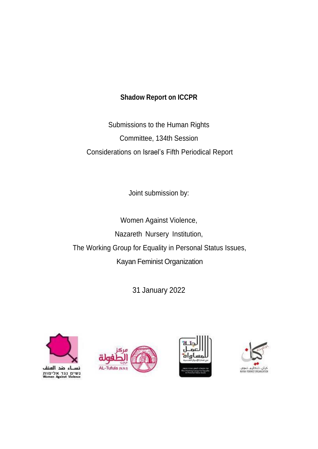## **Shadow Report on ICCPR**

Submissions to the Human Rights Committee, 134th Session Considerations on Israel's Fifth Periodical Report

Joint submission by:

Women Against Violence, Nazareth Nursery Institution, The Working Group for Equality in Personal Status Issues, Kayan Feminist Organization

31 January 2022



، ضد اله נשים נגד אלימות<br>Women Against Violence





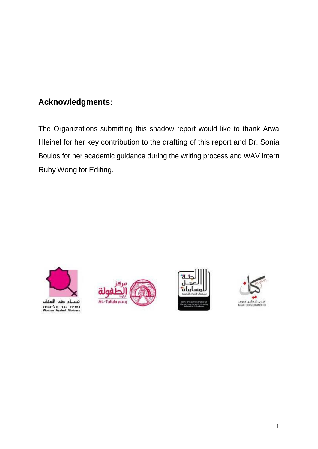# **Acknowledgments:**

The Organizations submitting this shadow report would like to thank Arwa Hleihel for her key contribution to the drafting of this report and Dr. Sonia Boulos for her academic guidance during the writing process and WAV intern Ruby Wong for Editing.







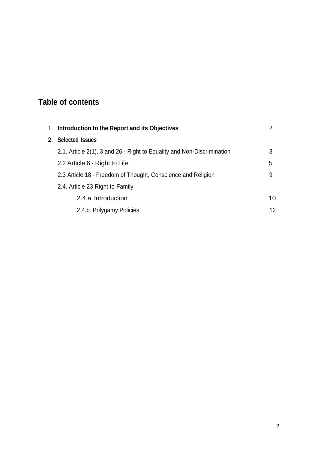# **Table of contents**

|  | 1. Introduction to the Report and its Objectives                       |    |
|--|------------------------------------------------------------------------|----|
|  | 2. Selected Issues                                                     |    |
|  | 2.1. Article 2(1), 3 and 26 - Right to Equality and Non-Discrimination | 3  |
|  | 2.2 Article 6 - Right to Life                                          | 5  |
|  | 2.3 Article 18 - Freedom of Thought, Conscience and Religion           | 9  |
|  | 2.4. Article 23 Right to Family                                        |    |
|  | 2.4.a Introduction                                                     | 10 |
|  | 2.4.b. Polygamy Policies                                               | 12 |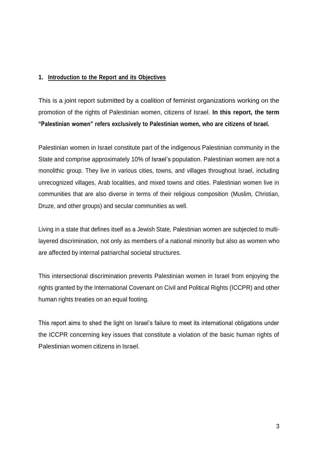### **1. Introduction to the Report and its Objectives**

This is a joint report submitted by a coalition of feminist organizations working on the promotion of the rights of Palestinian women, citizens of Israel. **In this report, the term "Palestinian women" refers exclusively to Palestinian women, who are citizens of Israel.**

Palestinian women in Israel constitute part of the indigenous Palestinian community in the State and comprise approximately 10% of Israel's population. Palestinian women are not a monolithic group. They live in various cities, towns, and villages throughout Israel, including unrecognized villages, Arab localities, and mixed towns and cities. Palestinian women live in communities that are also diverse in terms of their religious composition (Muslim, Christian, Druze, and other groups) and secular communities as well.

Living in a state that defines itself as a Jewish State, Palestinian women are subjected to multilayered discrimination, not only as members of a national minority but also as women who are affected by internal patriarchal societal structures.

This intersectional discrimination prevents Palestinian women in Israel from enjoying the rights granted by the International Covenant on Civil and Political Rights (ICCPR) and other human rights treaties on an equal footing.

This report aims to shed the light on Israel's failure to meet its international obligations under the ICCPR concerning key issues that constitute a violation of the basic human rights of Palestinian women citizens in Israel.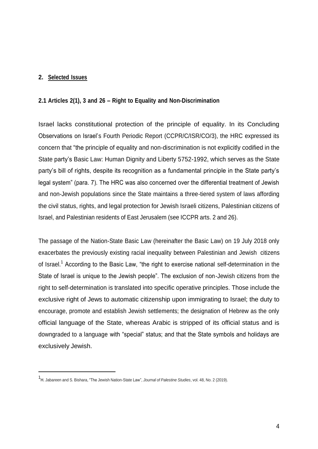#### **2. Selected Issues**

#### **2.1 Articles 2(1), 3 and 26 – Right to Equality and Non-Discrimination**

Israel lacks constitutional protection of the principle of equality. In its Concluding Observations on Israel's Fourth Periodic Report (CCPR/C/ISR/CO/3), the HRC expressed its concern that "the principle of equality and non-discrimination is not explicitly codified in the State party's Basic Law: Human Dignity and Liberty 5752-1992, which serves as the State party's bill of rights, despite its recognition as a fundamental principle in the State party's legal system" (para. 7). The HRC was also concerned over the differential treatment of Jewish and non-Jewish populations since the State maintains a three-tiered system of laws affording the civil status, rights, and legal protection for Jewish Israeli citizens, Palestinian citizens of Israel, and Palestinian residents of East Jerusalem (see ICCPR arts. 2 and 26).

The passage of the Nation-State Basic Law (hereinafter the Basic Law) on 19 July 2018 only exacerbates the previously existing racial inequality between Palestinian and Jewish citizens of Israel.<sup>1</sup> According to the Basic Law, "the right to exercise national self-determination in the State of Israel is unique to the Jewish people". The exclusion of non-Jewish citizens from the right to self-determination is translated into specific operative principles. Those include the exclusive right of Jews to automatic citizenship upon immigrating to Israel; the duty to encourage, promote and establish Jewish settlements; the designation of Hebrew as the only official language of the State, whereas Arabic is stripped of its official status and is downgraded to a language with "special" status; and that the State symbols and holidays are exclusively Jewish.

<sup>1</sup> H. Jabareen and S. Bishara, "The Jewish Nation-State Law", *Journal of Palestine Studies*, vol. 48, No. 2 (2019).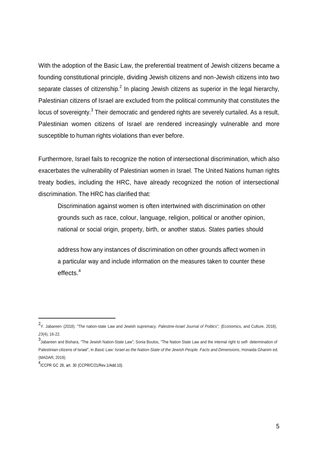With the adoption of the Basic Law, the preferential treatment of Jewish citizens became a founding constitutional principle, dividing Jewish citizens and non-Jewish citizens into two separate classes of citizenship.<sup>2</sup> In placing Jewish citizens as superior in the legal hierarchy, Palestinian citizens of Israel are excluded from the political community that constitutes the locus of sovereignty.<sup>3</sup> Their democratic and gendered rights are severely curtailed. As a result, Palestinian women citizens of Israel are rendered increasingly vulnerable and more susceptible to human rights violations than ever before.

Furthermore, Israel fails to recognize the notion of intersectional discrimination, which also exacerbates the vulnerability of Palestinian women in Israel. The United Nations human rights treaty bodies, including the HRC, have already recognized the notion of intersectional discrimination. The HRC has clarified that:

Discrimination against women is often intertwined with discrimination on other grounds such as race, colour, language, religion, political or another opinion, national or social origin, property, birth, or another status. States parties should

address how any instances of discrimination on other grounds affect women in a particular way and include information on the measures taken to counter these effects.<sup>4</sup>

<sup>2</sup> Y. Jabareen (2018). "The nation-state Law and Jewish supremacy. *Palestine-Israel Journal of Politics",* (Economics, and Culture, 2018), *23*(4), 16-22.

<sup>3</sup> Jabareen and Bishara, "The Jewish Nation-State Law"; Sonia Boulos, "The Nation State Law and the internal right to self- determination of Palestinian citizens of Israel", in Basic Law: Israel as the Nation-State of the Jewish People. Facts and Dimensions, Honaida Ghanim ed. (MADAR, 2019).

<sup>4</sup> ICCPR GC 28, art. 30 (CCPR/C/21/Rev.1/Add.10).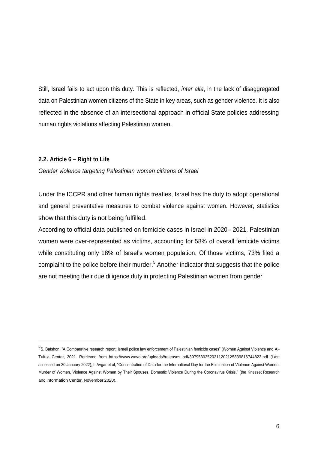Still, Israel fails to act upon this duty. This is reflected, *inter alia*, in the lack of disaggregated data on Palestinian women citizens of the State in key areas, such as gender violence. It is also reflected in the absence of an intersectional approach in official State policies addressing human rights violations affecting Palestinian women.

#### **2.2. Article 6 – Right to Life**

*Gender violence targeting Palestinian women citizens of Israel*

Under the ICCPR and other human rights treaties, Israel has the duty to adopt operational and general preventative measures to combat violence against women. However, statistics show that this duty is not being fulfilled.

According to official data published on femicide cases in Israel in 2020– 2021, Palestinian women were over-represented as victims, accounting for 58% of overall femicide victims while constituting only 18% of Israel's women population. Of those victims, 73% filed a complaint to the police before their murder.<sup>5</sup> Another indicator that suggests that the police are not meeting their due diligence duty in protecting Palestinian women from gender

<sup>5&</sup>lt;br><sup>5</sup>S. Batshon, "A Comparative research report: Israeli police law enforcement of Palestinian femicide cases" (Women Against Violence and Al-Tufula Center, 2021. Retrieved from https:[//www.wavo.org/uploads//releases\\_pdf/39795302520211202125839816744822.pdf \(L](http://www.wavo.org/uploads/releases_pdf/39795302520211202125839816744822.pdf)ast accessed on 30 January 2022); I. Avgar et al, "Concentration of Data for the International Day for the Elimination of Violence Against Women: Murder of Women, Violence Against Women by Their Spouses, Domestic Violence During the Coronavirus Crisis," (the Knesset Research and Information Center, November 2020).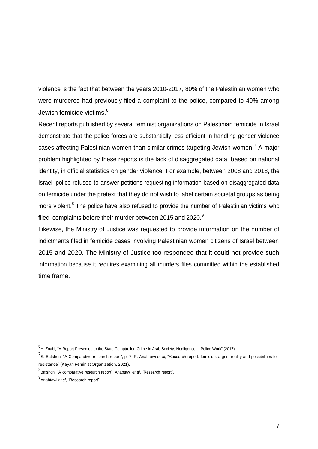violence is the fact that between the years 2010-2017, 80% of the Palestinian women who were murdered had previously filed a complaint to the police, compared to 40% among Jewish femicide victims.<sup>6</sup>

Recent reports published by several feminist organizations on Palestinian femicide in Israel demonstrate that the police forces are substantially less efficient in handling gender violence cases affecting Palestinian women than similar crimes targeting Jewish women.<sup>7</sup> A major problem highlighted by these reports is the lack of disaggregated data, based on national identity, in official statistics on gender violence. For example, between 2008 and 2018, the Israeli police refused to answer petitions requesting information based on disaggregated data on femicide under the pretext that they do not wish to label certain societal groups as being more violent. $8$  The police have also refused to provide the number of Palestinian victims who filed complaints before their murder between 2015 and 2020.<sup>9</sup>

Likewise, the Ministry of Justice was requested to provide information on the number of indictments filed in femicide cases involving Palestinian women citizens of Israel between 2015 and 2020. The Ministry of Justice too responded that it could not provide such information because it requires examining all murders files committed within the established time frame.

<sup>6</sup> H. Zoabi, "A Report Presented to the State Comptroller: Crime in Arab Society, Negligence in Police Work",(2017).

<sup>7</sup> S. Batshon, "A Comparative research report", p. 7; R. Anabtawi *et al*, "Research report: femicide: a grim reality and possibilities for resistance" (Kayan Feminist Organization, 2021).

<sup>8</sup> Batshon, "A comparative research report"; Anabtawi *et al*, "Research report".

<sup>9</sup> Anabtawi *et al*, "Research report".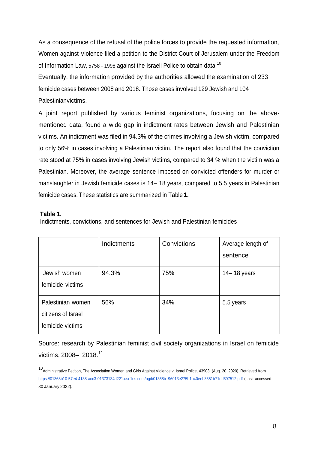As a consequence of the refusal of the police forces to provide the requested information, Women against Violence filed a petition to the District Court of Jerusalem under the Freedom of Information Law, 5758 - 1998 against the Israeli Police to obtain data.<sup>10</sup> Eventually, the information provided by the authorities allowed the examination of 233 femicide cases between 2008 and 2018. Those cases involved 129 Jewish and 104 Palestinianvictims.

A joint report published by various feminist organizations, focusing on the abovementioned data, found a wide gap in indictment rates between Jewish and Palestinian victims. An indictment was filed in 94.3% of the crimes involving a Jewish victim, compared to only 56% in cases involving a Palestinian victim. The report also found that the conviction rate stood at 75% in cases involving Jewish victims, compared to 34 % when the victim was a Palestinian. Moreover, the average sentence imposed on convicted offenders for murder or manslaughter in Jewish femicide cases is 14– 18 years, compared to 5.5 years in Palestinian femicide cases. These statistics are summarized in Table **1.**

#### **Table 1.**

Indictments, convictions, and sentences for Jewish and Palestinian femicides

|                                                             | Indictments | Convictions | Average length of<br>sentence |
|-------------------------------------------------------------|-------------|-------------|-------------------------------|
| Jewish women<br>femicide victims                            | 94.3%       | 75%         | $14 - 18$ years               |
| Palestinian women<br>citizens of Israel<br>femicide victims | 56%         | 34%         | 5.5 years                     |

Source: research by Palestinian feminist civil society organizations in Israel on femicide victims, 2008- 2018.<sup>11</sup>

<sup>10&</sup>lt;br>Administrative Petition, The Association Women and Girls Against Violence v. Israel Police, 43903, (Aug. 20, 2020). Retrieved from [https://01368b10-57e4-4138-acc3-01373134d221.usrfiles.com/ugd/01368b\\_96013e275b1b40eeb3651b71dd697512.pdf](https://01368b10-57e4-4138-acc3-01373134d221.usrfiles.com/ugd/01368b_96013e275b1b40eeb3651b71dd697512.pdf) (Last accessed 30 January 2022).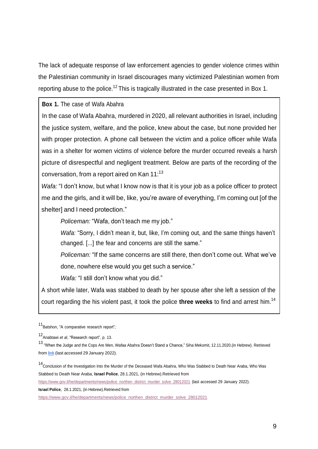The lack of adequate response of law enforcement agencies to gender violence crimes within the Palestinian community in Israel discourages many victimized Palestinian women from reporting abuse to the police.<sup>12</sup> This is tragically illustrated in the case presented in Box 1.

**Box 1.** The case of Wafa Abahra

In the case of Wafa Abahra, murdered in 2020, all relevant authorities in Israel, including the justice system, welfare, and the police, knew about the case, but none provided her with proper protection. A phone call between the victim and a police officer while Wafa was in a shelter for women victims of violence before the murder occurred reveals a harsh picture of disrespectful and negligent treatment. Below are parts of the recording of the conversation, from a report aired on Kan  $11$ :<sup>13</sup>

*Wafa:* "I don't know, but what I know now is that it is your job as a police officer to protect me and the girls, and it will be, like, you're aware of everything, I'm coming out [of the shelter] and I need protection."

*Policeman:* "Wafa, don't teach me my job."

*Wafa:* "Sorry, I didn't mean it, but, like, I'm coming out, and the same things haven't changed. [...] the fear and concerns are still the same."

*Policeman:* "If the same concerns are still there, then don't come out. What we've done, nowhere else would you get such a service."

*Wafa:* "I still don't know what you did."

A short while later, Wafa was stabbed to death by her spouse after she left a session of the court regarding the his violent past, it took the police **three weeks** to find and arrest him.<sup>14</sup>

[https://www.gov.il/he/departments/news/police\\_northen\\_district\\_murder\\_solve\\_28012021](https://www.gov.il/he/departments/news/police_northen_district_murder_solve_28012021) (last accessed 29 January 2022).

**Israel Police**, 28.1.2021, (in Hebrew).Retrieved from

<sup>11</sup> Batshon, "A comparative research report";

<sup>12</sup> Anabtawi *et al*, "Research report", p. 13.

<sup>13</sup> "When the Judge and the Cops Are Men, Wafaa Abahra Doesn't Stand a Chance," Siha Mekomit, 12.11.2020.(in Hebrew). Retrieved from [link](https://www.mekomit.co.il/%D7%9B%D7%A9%D7%94%D7%A9%D7%95%D7%A4%D7%98-%D7%95%D7%94%D7%A9%D7%95%D7%98%D7%A8-%D7%94%D7%9D-%D7%92%D7%91%D7%A8%D7%99%D7%9D-%D7%9C%D7%95%D7%95%D7%A4%D7%90%D7%90-%D7%A2%D7%91%D7%90%D7%94%D7%A8%D7%94/) (last accessed 29 January 2022).

<sup>14&</sup>lt;br>Conclusion of the Investigation Into the Murder of the Deceased Wafa Abahra, Who Was Stabbed to Death Near Araba, Who Was Stabbed to Death Near Araba, **Israel Police**, 28.1.2021, (in Hebrew).Retrieved from

[https://www.gov.il/he/departments/news/police\\_northen\\_district\\_murder\\_solve\\_28012021](https://www.gov.il/he/departments/news/police_northen_district_murder_solve_28012021)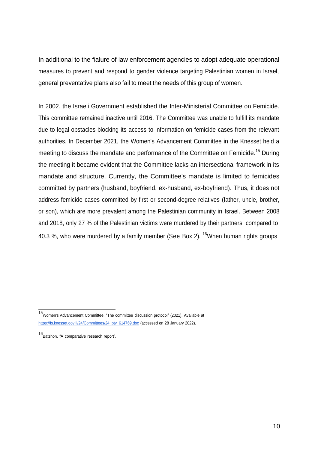In additional to the fialure of law enforcement agencies to adopt adequate operational measures to prevent and respond to gender violence targeting Palestinian women in Israel, general preventative plans also fail to meet the needs of this group of women.

In 2002, the Israeli Government established the Inter-Ministerial Committee on Femicide. This committee remained inactive until 2016. The Committee was unable to fulfill its mandate due to legal obstacles blocking its access to information on femicide cases from the relevant authorities. In December 2021, the Women's Advancement Committee in the Knesset held a meeting to discuss the mandate and performance of the Committee on Femicide.<sup>15</sup> During the meeting it became evident that the Committee lacks an intersectional framework in its mandate and structure. Currently, the Committee's mandate is limited to femicides committed by partners (husband, boyfriend, ex-husband, ex-boyfriend). Thus, it does not address femicide cases committed by first or second-degree relatives (father, uncle, brother, or son), which are more prevalent among the Palestinian community in Israel. Between 2008 and 2018, only 27 % of the Palestinian victims were murdered by their partners, compared to 40.3 %, who were murdered by a family member (See Box 2). <sup>16</sup>When human rights groups

<sup>15&</sup>lt;br>Women's Advancement Committee, "The committee discussion protocol" (2021). Available [at](https://fs.knesset.gov.il/24/Committees/24_ptv_614769.doc) [https://fs.knesset.gov.il/24/Committees/24\\_ptv\\_614769.doc](https://fs.knesset.gov.il/24/Committees/24_ptv_614769.doc) (accessed on 28 January 2022).

<sup>16&</sup>lt;br>Batshon, "A comparative research report".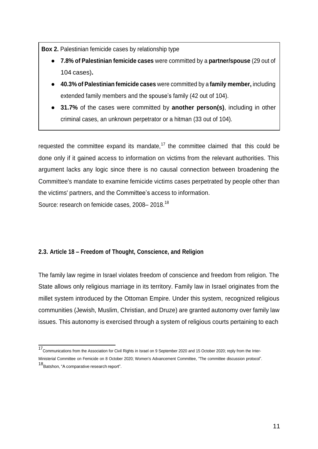**Box 2.** Palestinian femicide cases by relationship type

- **7.8% of Palestinian femicide cases** were committed by a **partner/spouse** (29 out of 104 cases)**.**
- **40.3% of Palestinian femicide cases** were committed by a **family member,** including extended family members and the spouse's family (42 out of 104).
- **31.7%** of the cases were committed by **another person(s)**, including in other criminal cases, an unknown perpetrator or a hitman (33 out of 104).

requested the committee expand its mandate,<sup>17</sup> the committee claimed that this could be done only if it gained access to information on victims from the relevant authorities. This argument lacks any logic since there is no causal connection between broadening the Committee's mandate to examine femicide victims cases perpetrated by people other than the victims' partners, and the Committee's access to information. Source: research on femicide cases, 2008–2018.<sup>18</sup>

### **2.3. Article 18 – Freedom of Thought, Conscience, and Religion**

The family law regime in Israel violates freedom of conscience and freedom from religion. The State allows only religious marriage in its territory. Family law in Israel originates from the millet system introduced by the Ottoman Empire. Under this system, recognized religious communities (Jewish, Muslim, Christian, and Druze) are granted autonomy over family law issues. This autonomy is exercised through a system of religious courts pertaining to each

<sup>17</sup> Communications from the Association for Civil Rights in Israel on 9 September 2020 and 15 October 2020; reply from the Inter-Ministerial Committee on Femicide on 8 October 2020; Women's Advancement Committee, "The committee discussion protocol".

<sup>18&</sup>lt;br>Batshon, "A comparative research report".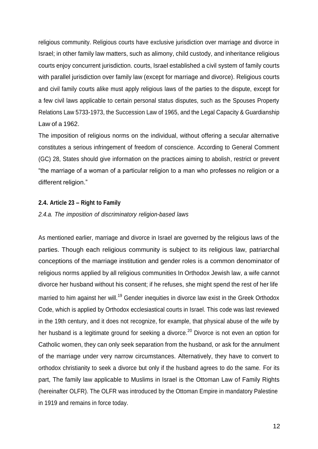religious community. Religious courts have exclusive jurisdiction over marriage and divorce in Israel; in other family law matters, such as alimony, child custody, and inheritance religious courts enjoy concurrent jurisdiction. courts, Israel established a civil system of family courts with parallel jurisdiction over family law (except for marriage and divorce). Religious courts and civil family courts alike must apply religious laws of the parties to the dispute, except for a few civil laws applicable to certain personal status disputes, such as the Spouses Property Relations Law 5733-1973, the Succession Law of 1965, and the Legal Capacity & Guardianship Law of a 1962.

The imposition of religious norms on the individual, without offering a secular alternative constitutes a serious infringement of freedom of conscience. According to General Comment (GC) 28, States should give information on the practices aiming to abolish, restrict or prevent "the marriage of a woman of a particular religion to a man who professes no religion or a different religion."

#### **2.4. Article 23 – Right to Family**

#### *2.4.a. The imposition of discriminatory religion-based laws*

As mentioned earlier, marriage and divorce in Israel are governed by the religious laws of the parties. Though each religious community is subject to its religious law, patriarchal conceptions of the marriage institution and gender roles is a common denominator of religious norms applied by all religious communities In Orthodox Jewish law, a wife cannot divorce her husband without his consent; if he refuses, she might spend the rest of her life married to him against her will.<sup>19</sup> Gender inequities in divorce law exist in the Greek Orthodox Code, which is applied by Orthodox ecclesiastical courts in Israel. This code was last reviewed in the 19th century, and it does not recognize, for example, that physical abuse of the wife by her husband is a legitimate ground for seeking a divorce.<sup>20</sup> Divorce is not even an option for Catholic women, they can only seek separation from the husband, or ask for the annulment of the marriage under very narrow circumstances. Alternatively, they have to convert to orthodox christianity to seek a divorce but only if the husband agrees to do the same. For its part, The family law applicable to Muslims in Israel is the Ottoman Law of Family Rights (hereinafter OLFR). The OLFR was introduced by the Ottoman Empire in mandatory Palestine in 1919 and remains in force today.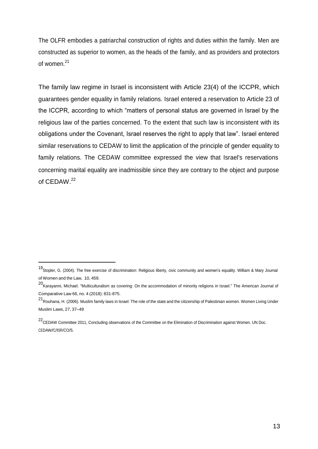The OLFR embodies a patriarchal construction of rights and duties within the family. Men are constructed as superior to women, as the heads of the family, and as providers and protectors of women.<sup>21</sup>

The family law regime in Israel is inconsistent with Article 23(4) of the ICCPR, which guarantees gender equality in family relations. Israel entered a reservation to Article 23 of the ICCPR, according to which "matters of personal status are governed in Israel by the religious law of the parties concerned. To the extent that such law is inconsistent with its obligations under the Covenant, Israel reserves the right to apply that law". Israel entered similar reservations to CEDAW to limit the application of the principle of gender equality to family relations. The CEDAW committee expressed the view that Israel's reservations concerning marital equality are inadmissible since they are contrary to the object and purpose of CEDAW.<sup>22</sup>

<sup>19</sup> Stopler, G. (2004). The free exercise of discrimination: Religious liberty, civic community and women's equality. William & Mary Journal of Women and the Law, 10, 459.

<sup>20</sup> Karayanni, Michael. "Multiculturalism as covering: On the accommodation of minority religions in Israel." The American Journal of Comparative Law 66, no. 4 (2018): 831-875.

<sup>21</sup> Rouhana, H. (2006). Muslim family laws in Israel: The role of the state and the citizenship of Palestinian women. Women Living Under Muslim Laws, 27, 37–49

<sup>&</sup>lt;sup>22</sup>CEDAW Committee 2011, Concluding observations of the Committee on the Elimination of Discrimination against Women. UN Doc. CEDAW/C/ISR/CO/5.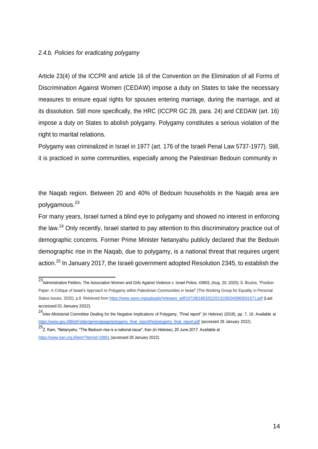#### *2.4.b. Policies for eradicating polygamy*

Article 23(4) of the ICCPR and article 16 of the Convention on the Elimination of all Forms of Discrimination Against Women (CEDAW) impose a duty on States to take the necessary measures to ensure equal rights for spouses entering marriage, during the marriage, and at its dissolution. Still more specifically, the HRC (ICCPR GC 28, para. 24) and CEDAW (art. 16) impose a duty on States to abolish polygamy. Polygamy constitutes a serious violation of the right to marital relations.

Polygamy was criminalized in Israel in 1977 (art. 176 of the Israeli Penal Law 5737-1977). Still, it is practiced in some communities, especially among the Palestinian Bedouin community in

the Naqab region. Between 20 and 40% of Bedouin households in the Naqab area are polygamous.<sup>23</sup>

For many years, Israel turned a blind eye to polygamy and showed no interest in enforcing the law.<sup>24</sup> Only recently, Israel started to pay attention to this discriminatory practice out of demographic concerns. Former Prime Minister Netanyahu publicly declared that the Bedouin demographic rise in the Naqab, due to polygamy, is a national threat that requires urgent action.<sup>25</sup> In January 2017, the Israeli government adopted Resolution 2345, to establish the

<sup>23</sup> Administrative Petition, The Association Women and Girls Against Violence v. Israel Police, 43903, (Aug. 20, 2020); S. Boulos, "Position Paper: A Critique of Israel's Approach to Polygamy within Palestinian Communities in Israel" (The Working Group for Equality in Personal Status Issues, 2020), p.8. Retrieved from [https://www.wavo.org/uploads//releases\\_pdf/107190186320220131092040983001571.pdf](https://www.wavo.org/uploads/releases_pdf/107190186320220131092040983001571.pdf) (Last accessed 31 January 2022).

<sup>&</sup>lt;sup>24</sup>Inter-Ministerial Committee Dealing for the Negative Implications of Polygamy, "Final report" (in Hebrew) (2018), pp. 7, 16. Available at [https://www.gov.il/BlobFolder/generalpage/polygamy\\_final\\_report/he/polygamy\\_final\\_report.pdf](https://www.gov.il/BlobFolder/generalpage/polygamy_final_report/he/polygamy_final_report.pdf) (accessed 28 January 2022).

<sup>25&</sup>lt;br><sup>25</sup>Z. Kam, "Netanyahu: "The Bedouin rise is a national issue", Kan (in Hebrew), 20 June 2017. Available at <https://www.kan.org.il/item/?itemid=19861> (accessed 28 January 2022).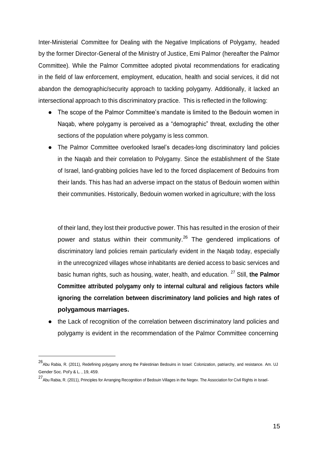Inter-Ministerial Committee for Dealing with the Negative Implications of Polygamy, headed by the former Director-General of the Ministry of Justice, Emi Palmor (hereafter the Palmor Committee). While the Palmor Committee adopted pivotal recommendations for eradicating in the field of law enforcement, employment, education, health and social services, it did not abandon the demographic/security approach to tackling polygamy. Additionally, it lacked an intersectional approach to this discriminatory practice. This is reflected in the following:

- The scope of the Palmor Committee's mandate is limited to the Bedouin women in Naqab, where polygamy is perceived as a "demographic" threat, excluding the other sections of the population where polygamy is less common.
- The Palmor Committee overlooked Israel's decades-long discriminatory land policies in the Naqab and their correlation to Polygamy. Since the establishment of the State of Israel, land-grabbing policies have led to the forced displacement of Bedouins from their lands. This has had an adverse impact on the status of Bedouin women within their communities. Historically, Bedouin women worked in agriculture; with the loss

of their land, they lost their productive power. This has resulted in the erosion of their power and status within their community.<sup>26</sup> The gendered implications of discriminatory land policies remain particularly evident in the Naqab today, especially in the unrecognized villages whose inhabitants are denied access to basic services and basic human rights, such as housing, water, health, and education. <sup>27</sup> Still, **the Palmor Committee attributed polygamy only to internal cultural and religious factors while ignoring the correlation between discriminatory land policies and high rates of polygamous marriages.**

the Lack of recognition of the correlation between discriminatory land policies and polygamy is evident in the recommendation of the Palmor Committee concerning

<sup>26</sup> Abu Rabia, R. (2011), Redefining polygamy among the Palestinian Bedouins in Israel: Colonization, patriarchy, and resistance. Am. UJ Gender Soc. Pol'y & L. , 19, 459.

<sup>27</sup> Abu Rabia, R. (2011), Principles for Arranging Recognition of Bedouin Villages in the Negev. The Association for Civil Rights in Israel.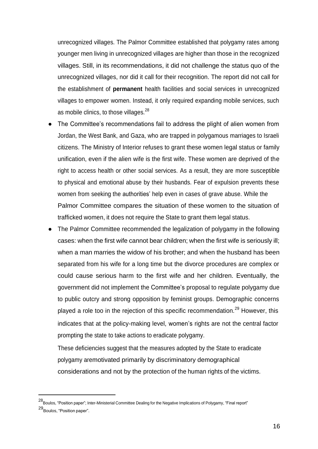unrecognized villages. The Palmor Committee established that polygamy rates among younger men living in unrecognized villages are higher than those in the recognized villages. Still, in its recommendations, it did not challenge the status quo of the unrecognized villages, nor did it call for their recognition. The report did not call for the establishment of **permanent** health facilities and social services in unrecognized villages to empower women. Instead, it only required expanding mobile services, such as mobile clinics, to those villages.<sup>28</sup>

- The Committee's recommendations fail to address the plight of alien women from Jordan, the West Bank, and Gaza, who are trapped in polygamous marriages to Israeli citizens. The Ministry of Interior refuses to grant these women legal status or family unification, even if the alien wife is the first wife. These women are deprived of the right to access health or other social services. As a result, they are more susceptible to physical and emotional abuse by their husbands. Fear of expulsion prevents these women from seeking the authorities' help even in cases of grave abuse. While the Palmor Committee compares the situation of these women to the situation of trafficked women, it does not require the State to grant them legal status.
- The Palmor Committee recommended the legalization of polygamy in the following cases: when the first wife cannot bear children; when the first wife is seriously ill; when a man marries the widow of his brother; and when the husband has been separated from his wife for a long time but the divorce procedures are complex or could cause serious harm to the first wife and her children. Eventually, the government did not implement the Committee's proposal to regulate polygamy due to public outcry and strong opposition by feminist groups. Demographic concerns played a role too in the rejection of this specific recommendation.<sup>29</sup> However, this indicates that at the policy-making level, women's rights are not the central factor prompting the state to take actions to eradicate polygamy.

These deficiencies suggest that the measures adopted by the State to eradicate polygamy aremotivated primarily by discriminatory demographical considerations and not by the protection of the human rights of the victims.

<sup>28</sup> Boulos, "Position paper"; Inter-Ministerial Committee Dealing for the Negative Implications of Polygamy, "Final report" 29 Boulos, "Position paper".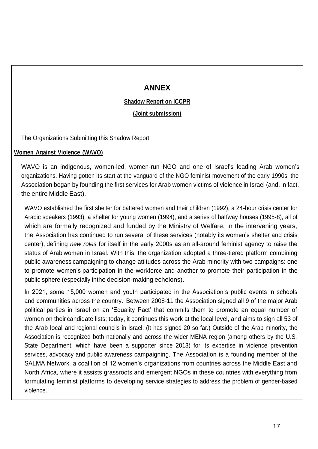## **ANNEX**

## **Shadow Report on ICCPR**

**(Joint submission)**

The Organizations Submitting this Shadow Report:

## **Women Against Violence (WAVO)**

WAVO is an indigenous, women-led, women-run NGO and one of Israel's leading Arab women's organizations. Having gotten its start at the vanguard of the NGO feminist movement of the early 1990s, the Association began by founding the first services for Arab women victims of violence in Israel (and, in fact, the entire Middle East).

WAVO established the first shelter for battered women and their children (1992), a 24-hour crisis center for Arabic speakers (1993), a shelter for young women (1994), and a series of halfway houses (1995-8), all of which are formally recognized and funded by the Ministry of Welfare. In the intervening years, the Association has continued to run several of these services (notably its women's shelter and crisis center), defining *new roles* for itself in the early 2000s as an all-around feminist agency to raise the status of Arab women in Israel. With this, the organization adopted a three-tiered platform combining public awareness campaigning to change attitudes across the Arab minority with two campaigns: one to promote women's participation in the workforce and another to promote their participation in the public sphere (especially inthe decision-making echelons).

In 2021, some 15,000 women and youth participated in the Association's public events in schools and communities across the country. Between 2008-11 the Association signed all 9 of the major Arab political parties in Israel on an 'Equality Pact' that commits them to promote an equal number of women on their candidate lists; today, it continues this work at the local level, and aims to sign all 53 of the Arab local and regional councils in Israel. (It has signed 20 so far.) Outside of the Arab minority, the Association is recognized both nationally and across the wider MENA region (among others by the U.S. State Department, which have been a supporter since 2013) for its expertise in violence prevention services, advocacy and public awareness campaigning. The Association is a founding member of the SALMA Network, a coalition of 12 women's organizations from countries across the Middle East and North Africa, where it assists grassroots and emergent NGOs in these countries with everything from formulating feminist platforms to developing service strategies to address the problem of gender-based violence.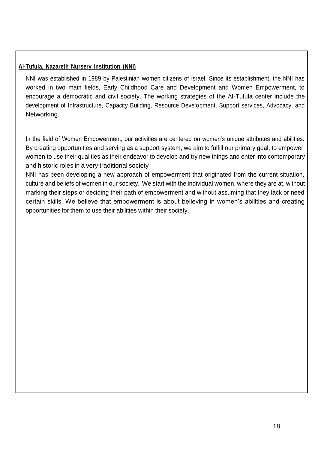## **Al-Tufula, Nazareth Nursery Institution (NNI)**

NNI was established in 1989 by Palestinian women citizens of Israel. Since its establishment, the NNI has worked in two main fields, Early Childhood Care and Development and Women Empowerment, to encourage a democratic and civil society. The working strategies of the Al-Tufula center include the development of Infrastructure, Capacity Building, Resource Development, Support services, Advocacy, and Networking.

In the field of Women Empowerment, our activities are centered on women's unique attributes and abilities. By creating opportunities and serving as a support system, we aim to fulfill our primary goal, to empower women to use their qualities as their endeavor to develop and try new things and enter into contemporary and historic roles in a very traditional society

NNI has been developing a new approach of empowerment that originated from the current situation, culture and beliefs of women in our society. We start with the individual women, where they are at, without marking their steps or deciding their path of empowerment and without assuming that they lack or need certain skills. We believe that empowerment is about believing in women's abilities and creating opportunities for them to use their abilities within their society.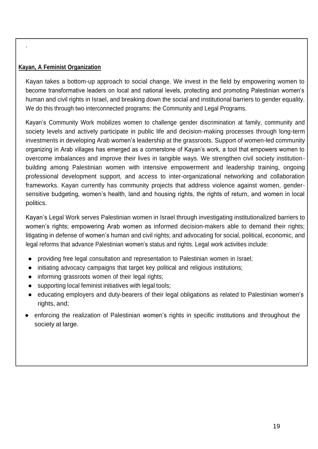## **Kayan, A Feminist Organization**

.

Kayan takes a bottom-up approach to social change. We invest in the field by empowering women to become transformative leaders on local and national levels, protecting and promoting Palestinian women's human and civil rights in Israel, and breaking down the social and institutional barriers to gender equality. We do this through two interconnected programs: the Community and Legal Programs.

Kayan's [Community Work m](https://www.kayanfeminist.org/community-work)obilizes women to challenge gender discrimination at family, community and society levels and actively participate in public life and decision-making processes through long-term investments in developing Arab women's leadership at the grassroots. Support of women-led community organizing in Arab villages has emerged as a cornerstone of Kayan's work, a tool that empowers women to overcome imbalances and improve their lives in tangible ways. We strengthen civil society institutionbuilding among Palestinian women with intensive empowerment and leadership training, ongoing professional development support, and access to inter-organizational networking and collaboration frameworks. Kayan currently has community projects that address violence against women, gendersensitive budgeting, women's health, land and housing rights, the rights of return, and women in local politics.

Kayan's Legal Work serves Palestinian women in Israel through investigating institutionalized barriers to women's rights; empowering Arab women as informed decision-makers able to demand their rights; litigating in defense of women's human and civil rights; and advocating for social, political, economic, and legal reforms that advance Palestinian women's status and rights. Legal work activities include:

- providing free legal consultation and representation to Palestinian women in Israel;
- initiating advocacy campaigns that target key political and religious institutions;
- informing grassroots women of their legal rights;
- supporting local feminist initiatives with legal tools;
- educating employers and duty-bearers of their legal obligations as related to Palestinian women's rights, and;
- enforcing the realization of Palestinian women's rights in specific institutions and throughout the society at large.